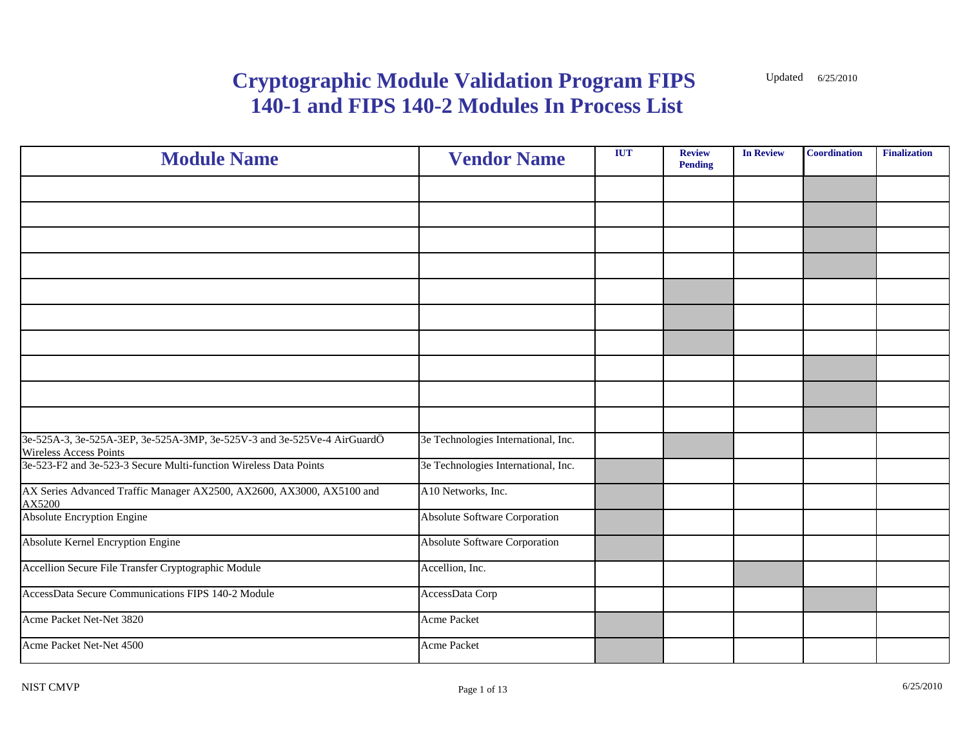| <b>Module Name</b>                                                                                       | <b>Vendor Name</b>                   | <b>IUT</b> | <b>Review</b><br><b>Pending</b> | <b>In Review</b> | <b>Coordination</b> | <b>Finalization</b> |
|----------------------------------------------------------------------------------------------------------|--------------------------------------|------------|---------------------------------|------------------|---------------------|---------------------|
|                                                                                                          |                                      |            |                                 |                  |                     |                     |
|                                                                                                          |                                      |            |                                 |                  |                     |                     |
|                                                                                                          |                                      |            |                                 |                  |                     |                     |
|                                                                                                          |                                      |            |                                 |                  |                     |                     |
|                                                                                                          |                                      |            |                                 |                  |                     |                     |
|                                                                                                          |                                      |            |                                 |                  |                     |                     |
|                                                                                                          |                                      |            |                                 |                  |                     |                     |
|                                                                                                          |                                      |            |                                 |                  |                     |                     |
|                                                                                                          |                                      |            |                                 |                  |                     |                     |
|                                                                                                          |                                      |            |                                 |                  |                     |                     |
| 3e-525A-3, 3e-525A-3EP, 3e-525A-3MP, 3e-525V-3 and 3e-525Ve-4 AirGuardÖ<br><b>Wireless Access Points</b> | 3e Technologies International, Inc.  |            |                                 |                  |                     |                     |
| 3e-523-F2 and 3e-523-3 Secure Multi-function Wireless Data Points                                        | 3e Technologies International, Inc.  |            |                                 |                  |                     |                     |
| AX Series Advanced Traffic Manager AX2500, AX2600, AX3000, AX5100 and<br>AX5200                          | A10 Networks, Inc.                   |            |                                 |                  |                     |                     |
| <b>Absolute Encryption Engine</b>                                                                        | Absolute Software Corporation        |            |                                 |                  |                     |                     |
| Absolute Kernel Encryption Engine                                                                        | <b>Absolute Software Corporation</b> |            |                                 |                  |                     |                     |
| Accellion Secure File Transfer Cryptographic Module                                                      | Accellion, Inc.                      |            |                                 |                  |                     |                     |
| AccessData Secure Communications FIPS 140-2 Module                                                       | AccessData Corp                      |            |                                 |                  |                     |                     |
| Acme Packet Net-Net 3820                                                                                 | Acme Packet                          |            |                                 |                  |                     |                     |
| Acme Packet Net-Net 4500                                                                                 | Acme Packet                          |            |                                 |                  |                     |                     |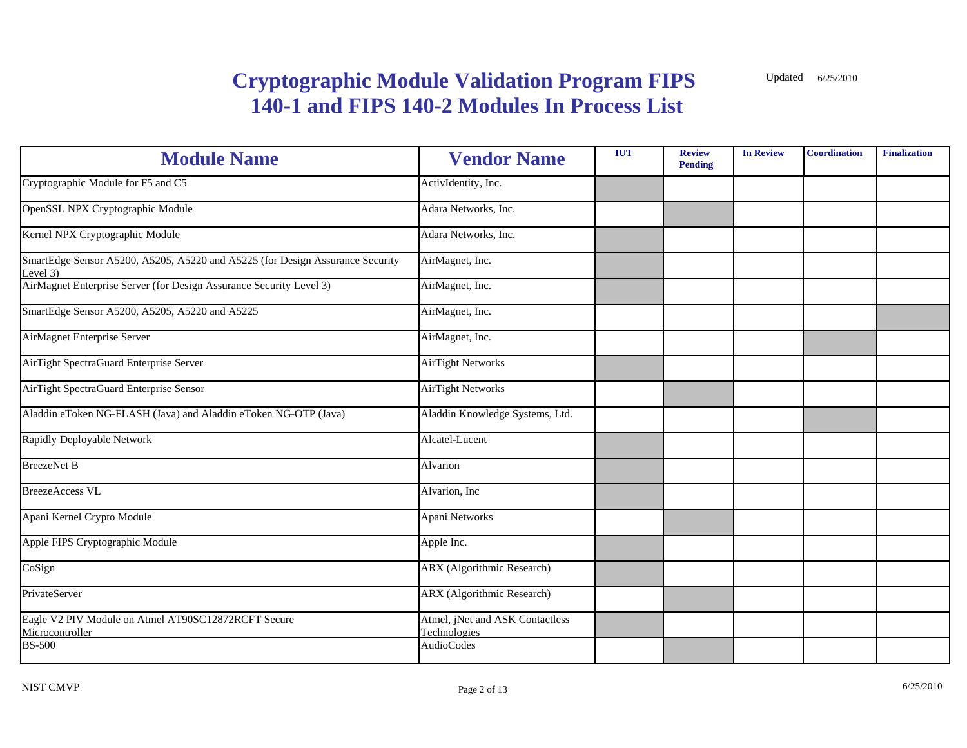| <b>Module Name</b>                                                                        | <b>Vendor Name</b>                              | <b>IUT</b> | <b>Review</b><br><b>Pending</b> | <b>In Review</b> | <b>Coordination</b> | <b>Finalization</b> |
|-------------------------------------------------------------------------------------------|-------------------------------------------------|------------|---------------------------------|------------------|---------------------|---------------------|
| Cryptographic Module for F5 and C5                                                        | ActivIdentity, Inc.                             |            |                                 |                  |                     |                     |
| OpenSSL NPX Cryptographic Module                                                          | Adara Networks, Inc.                            |            |                                 |                  |                     |                     |
| Kernel NPX Cryptographic Module                                                           | Adara Networks, Inc.                            |            |                                 |                  |                     |                     |
| SmartEdge Sensor A5200, A5205, A5220 and A5225 (for Design Assurance Security<br>Level 3) | AirMagnet, Inc.                                 |            |                                 |                  |                     |                     |
| AirMagnet Enterprise Server (for Design Assurance Security Level 3)                       | AirMagnet, Inc.                                 |            |                                 |                  |                     |                     |
| SmartEdge Sensor A5200, A5205, A5220 and A5225                                            | AirMagnet, Inc.                                 |            |                                 |                  |                     |                     |
| AirMagnet Enterprise Server                                                               | AirMagnet, Inc.                                 |            |                                 |                  |                     |                     |
| AirTight SpectraGuard Enterprise Server                                                   | <b>AirTight Networks</b>                        |            |                                 |                  |                     |                     |
| AirTight SpectraGuard Enterprise Sensor                                                   | <b>AirTight Networks</b>                        |            |                                 |                  |                     |                     |
| Aladdin eToken NG-FLASH (Java) and Aladdin eToken NG-OTP (Java)                           | Aladdin Knowledge Systems, Ltd.                 |            |                                 |                  |                     |                     |
| Rapidly Deployable Network                                                                | Alcatel-Lucent                                  |            |                                 |                  |                     |                     |
| <b>BreezeNet B</b>                                                                        | Alvarion                                        |            |                                 |                  |                     |                     |
| <b>BreezeAccess VL</b>                                                                    | Alvarion, Inc                                   |            |                                 |                  |                     |                     |
| Apani Kernel Crypto Module                                                                | Apani Networks                                  |            |                                 |                  |                     |                     |
| Apple FIPS Cryptographic Module                                                           | Apple Inc.                                      |            |                                 |                  |                     |                     |
| CoSign                                                                                    | <b>ARX</b> (Algorithmic Research)               |            |                                 |                  |                     |                     |
| PrivateServer                                                                             | <b>ARX</b> (Algorithmic Research)               |            |                                 |                  |                     |                     |
| Eagle V2 PIV Module on Atmel AT90SC12872RCFT Secure<br>Microcontroller                    | Atmel, jNet and ASK Contactless<br>Technologies |            |                                 |                  |                     |                     |
| <b>BS-500</b>                                                                             | <b>AudioCodes</b>                               |            |                                 |                  |                     |                     |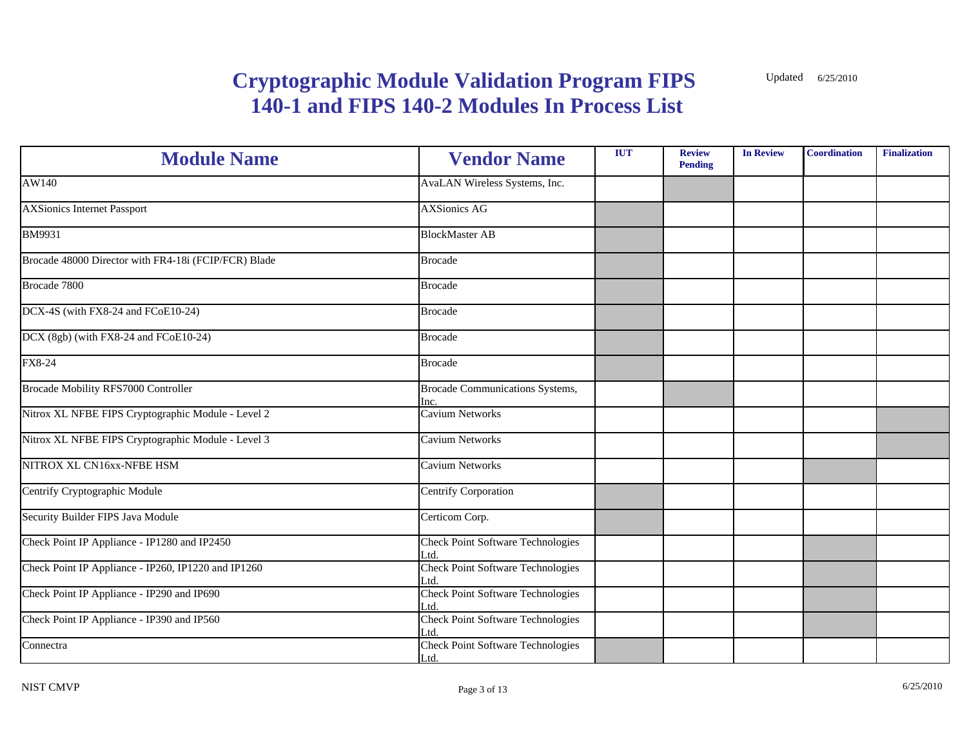| <b>Module Name</b>                                   | <b>Vendor Name</b>                               | <b>IUT</b> | <b>Review</b><br><b>Pending</b> | <b>In Review</b> | <b>Coordination</b> | Finalization |
|------------------------------------------------------|--------------------------------------------------|------------|---------------------------------|------------------|---------------------|--------------|
| AW140                                                | AvaLAN Wireless Systems, Inc.                    |            |                                 |                  |                     |              |
| <b>AXSionics Internet Passport</b>                   | <b>AXSionics AG</b>                              |            |                                 |                  |                     |              |
| <b>BM9931</b>                                        | <b>BlockMaster AB</b>                            |            |                                 |                  |                     |              |
| Brocade 48000 Director with FR4-18i (FCIP/FCR) Blade | <b>Brocade</b>                                   |            |                                 |                  |                     |              |
| Brocade 7800                                         | <b>Brocade</b>                                   |            |                                 |                  |                     |              |
| DCX-4S (with FX8-24 and FCoE10-24)                   | <b>Brocade</b>                                   |            |                                 |                  |                     |              |
| DCX (8gb) (with FX8-24 and FCoE10-24)                | <b>Brocade</b>                                   |            |                                 |                  |                     |              |
| FX8-24                                               | <b>Brocade</b>                                   |            |                                 |                  |                     |              |
| <b>Brocade Mobility RFS7000 Controller</b>           | <b>Brocade Communications Systems,</b><br>Inc.   |            |                                 |                  |                     |              |
| Nitrox XL NFBE FIPS Cryptographic Module - Level 2   | <b>Cavium Networks</b>                           |            |                                 |                  |                     |              |
| Nitrox XL NFBE FIPS Cryptographic Module - Level 3   | <b>Cavium Networks</b>                           |            |                                 |                  |                     |              |
| NITROX XL CN16xx-NFBE HSM                            | Cavium Networks                                  |            |                                 |                  |                     |              |
| Centrify Cryptographic Module                        | <b>Centrify Corporation</b>                      |            |                                 |                  |                     |              |
| Security Builder FIPS Java Module                    | Certicom Corp.                                   |            |                                 |                  |                     |              |
| Check Point IP Appliance - IP1280 and IP2450         | <b>Check Point Software Technologies</b><br>.td  |            |                                 |                  |                     |              |
| Check Point IP Appliance - IP260, IP1220 and IP1260  | <b>Check Point Software Technologies</b><br>.td. |            |                                 |                  |                     |              |
| Check Point IP Appliance - IP290 and IP690           | <b>Check Point Software Technologies</b><br>_td. |            |                                 |                  |                     |              |
| Check Point IP Appliance - IP390 and IP560           | <b>Check Point Software Technologies</b><br>.td. |            |                                 |                  |                     |              |
| Connectra                                            | <b>Check Point Software Technologies</b><br>Ltd. |            |                                 |                  |                     |              |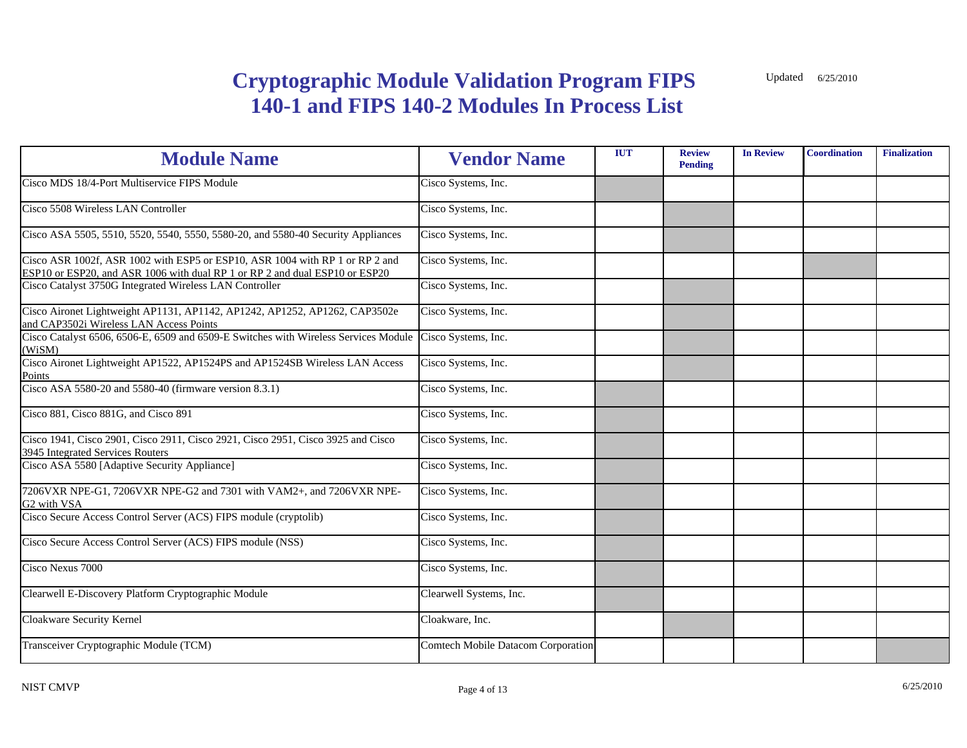| <b>Module Name</b>                                                                                                                                          | <b>Vendor Name</b>                       | <b>IUT</b> | <b>Review</b><br><b>Pending</b> | <b>In Review</b> | <b>Coordination</b> | <b>Finalization</b> |
|-------------------------------------------------------------------------------------------------------------------------------------------------------------|------------------------------------------|------------|---------------------------------|------------------|---------------------|---------------------|
| Cisco MDS 18/4-Port Multiservice FIPS Module                                                                                                                | Cisco Systems, Inc.                      |            |                                 |                  |                     |                     |
| Cisco 5508 Wireless LAN Controller                                                                                                                          | Cisco Systems, Inc.                      |            |                                 |                  |                     |                     |
| Cisco ASA 5505, 5510, 5520, 5540, 5550, 5580-20, and 5580-40 Security Appliances                                                                            | Cisco Systems, Inc.                      |            |                                 |                  |                     |                     |
| Cisco ASR 1002f, ASR 1002 with ESP5 or ESP10, ASR 1004 with RP 1 or RP 2 and<br>ESP10 or ESP20, and ASR 1006 with dual RP 1 or RP 2 and dual ESP10 or ESP20 | $\overline{\text{C}}$ isco Systems, Inc. |            |                                 |                  |                     |                     |
| Cisco Catalyst 3750G Integrated Wireless LAN Controller                                                                                                     | Cisco Systems, Inc.                      |            |                                 |                  |                     |                     |
| Cisco Aironet Lightweight AP1131, AP1142, AP1242, AP1252, AP1262, CAP3502e<br>and CAP3502i Wireless LAN Access Points                                       | Cisco Systems, Inc.                      |            |                                 |                  |                     |                     |
| Cisco Catalyst 6506, 6506-E, 6509 and 6509-E Switches with Wireless Services Module<br>(WiSM)                                                               | Cisco Systems, Inc.                      |            |                                 |                  |                     |                     |
| Cisco Aironet Lightweight AP1522, AP1524PS and AP1524SB Wireless LAN Access<br>Points                                                                       | Cisco Systems, Inc.                      |            |                                 |                  |                     |                     |
| Cisco ASA 5580-20 and 5580-40 (firmware version 8.3.1)                                                                                                      | Cisco Systems, Inc.                      |            |                                 |                  |                     |                     |
| Cisco 881, Cisco 881G, and Cisco 891                                                                                                                        | Cisco Systems, Inc.                      |            |                                 |                  |                     |                     |
| Cisco 1941, Cisco 2901, Cisco 2911, Cisco 2921, Cisco 2951, Cisco 3925 and Cisco<br>3945 Integrated Services Routers                                        | Cisco Systems, Inc.                      |            |                                 |                  |                     |                     |
| Cisco ASA 5580 [Adaptive Security Appliance]                                                                                                                | Cisco Systems, Inc.                      |            |                                 |                  |                     |                     |
| 7206VXR NPE-G1, 7206VXR NPE-G2 and 7301 with VAM2+, and 7206VXR NPE-<br>G2 with VSA                                                                         | Cisco Systems, Inc.                      |            |                                 |                  |                     |                     |
| Cisco Secure Access Control Server (ACS) FIPS module (cryptolib)                                                                                            | Cisco Systems, Inc.                      |            |                                 |                  |                     |                     |
| Cisco Secure Access Control Server (ACS) FIPS module (NSS)                                                                                                  | Cisco Systems, Inc.                      |            |                                 |                  |                     |                     |
| Cisco Nexus 7000                                                                                                                                            | Cisco Systems, Inc.                      |            |                                 |                  |                     |                     |
| Clearwell E-Discovery Platform Cryptographic Module                                                                                                         | Clearwell Systems, Inc.                  |            |                                 |                  |                     |                     |
| Cloakware Security Kernel                                                                                                                                   | Cloakware, Inc.                          |            |                                 |                  |                     |                     |
| Transceiver Cryptographic Module (TCM)                                                                                                                      | Comtech Mobile Datacom Corporation       |            |                                 |                  |                     |                     |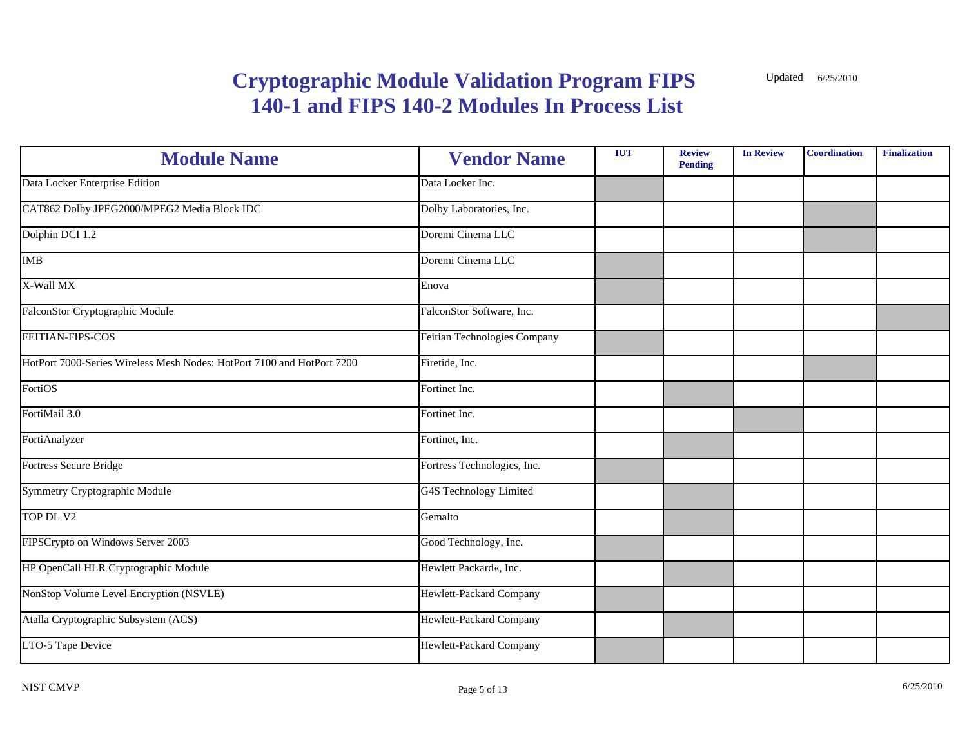| <b>Module Name</b>                                                     | <b>Vendor Name</b>            | <b>IUT</b> | <b>Review</b><br><b>Pending</b> | <b>In Review</b> | Coordination | <b>Finalization</b> |
|------------------------------------------------------------------------|-------------------------------|------------|---------------------------------|------------------|--------------|---------------------|
| Data Locker Enterprise Edition                                         | Data Locker Inc.              |            |                                 |                  |              |                     |
| CAT862 Dolby JPEG2000/MPEG2 Media Block IDC                            | Dolby Laboratories, Inc.      |            |                                 |                  |              |                     |
| Dolphin DCI 1.2                                                        | Doremi Cinema LLC             |            |                                 |                  |              |                     |
| <b>IMB</b>                                                             | Doremi Cinema LLC             |            |                                 |                  |              |                     |
| X-Wall MX                                                              | Enova                         |            |                                 |                  |              |                     |
| FalconStor Cryptographic Module                                        | FalconStor Software, Inc.     |            |                                 |                  |              |                     |
| FEITIAN-FIPS-COS                                                       | Feitian Technologies Company  |            |                                 |                  |              |                     |
| HotPort 7000-Series Wireless Mesh Nodes: HotPort 7100 and HotPort 7200 | Firetide, Inc.                |            |                                 |                  |              |                     |
| FortiOS                                                                | Fortinet Inc.                 |            |                                 |                  |              |                     |
| FortiMail 3.0                                                          | Fortinet Inc.                 |            |                                 |                  |              |                     |
| FortiAnalyzer                                                          | Fortinet, Inc.                |            |                                 |                  |              |                     |
| Fortress Secure Bridge                                                 | Fortress Technologies, Inc.   |            |                                 |                  |              |                     |
| Symmetry Cryptographic Module                                          | <b>G4S Technology Limited</b> |            |                                 |                  |              |                     |
| TOP DL V2                                                              | Gemalto                       |            |                                 |                  |              |                     |
| FIPSCrypto on Windows Server 2003                                      | Good Technology, Inc.         |            |                                 |                  |              |                     |
| HP OpenCall HLR Cryptographic Module                                   | Hewlett Packard«, Inc.        |            |                                 |                  |              |                     |
| NonStop Volume Level Encryption (NSVLE)                                | Hewlett-Packard Company       |            |                                 |                  |              |                     |
| Atalla Cryptographic Subsystem (ACS)                                   | Hewlett-Packard Company       |            |                                 |                  |              |                     |
| LTO-5 Tape Device                                                      | Hewlett-Packard Company       |            |                                 |                  |              |                     |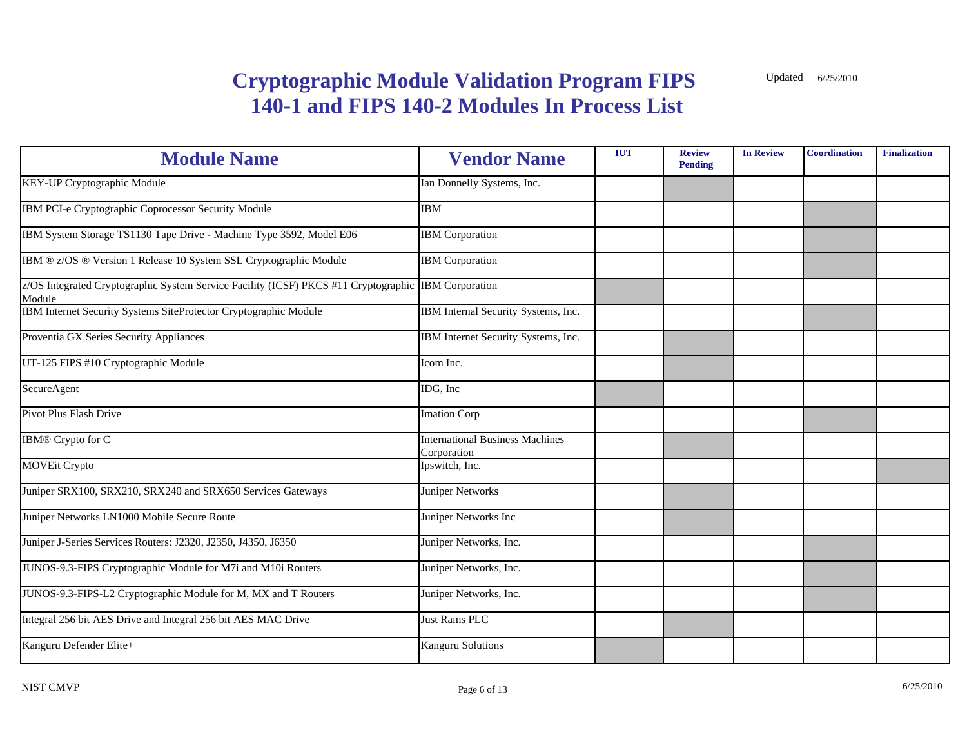| <b>Module Name</b>                                                                            | <b>Vendor Name</b>                                    | <b>IUT</b> | <b>Review</b><br><b>Pending</b> | <b>In Review</b> | <b>Coordination</b> | <b>Finalization</b> |
|-----------------------------------------------------------------------------------------------|-------------------------------------------------------|------------|---------------------------------|------------------|---------------------|---------------------|
| KEY-UP Cryptographic Module                                                                   | Ian Donnelly Systems, Inc.                            |            |                                 |                  |                     |                     |
| IBM PCI-e Cryptographic Coprocessor Security Module                                           | <b>IBM</b>                                            |            |                                 |                  |                     |                     |
| IBM System Storage TS1130 Tape Drive - Machine Type 3592, Model E06                           | <b>IBM</b> Corporation                                |            |                                 |                  |                     |                     |
| IBM ® z/OS ® Version 1 Release 10 System SSL Cryptographic Module                             | <b>IBM</b> Corporation                                |            |                                 |                  |                     |                     |
| z/OS Integrated Cryptographic System Service Facility (ICSF) PKCS #11 Cryptographic<br>Module | <b>IBM</b> Corporation                                |            |                                 |                  |                     |                     |
| IBM Internet Security Systems SiteProtector Cryptographic Module                              | IBM Internal Security Systems, Inc.                   |            |                                 |                  |                     |                     |
| Proventia GX Series Security Appliances                                                       | IBM Internet Security Systems, Inc.                   |            |                                 |                  |                     |                     |
| UT-125 FIPS #10 Cryptographic Module                                                          | Icom Inc.                                             |            |                                 |                  |                     |                     |
| SecureAgent                                                                                   | IDG, Inc                                              |            |                                 |                  |                     |                     |
| <b>Pivot Plus Flash Drive</b>                                                                 | <b>Imation Corp</b>                                   |            |                                 |                  |                     |                     |
| <b>IBM®</b> Crypto for C                                                                      | <b>International Business Machines</b><br>Corporation |            |                                 |                  |                     |                     |
| <b>MOVEit Crypto</b>                                                                          | Ipswitch, Inc.                                        |            |                                 |                  |                     |                     |
| Juniper SRX100, SRX210, SRX240 and SRX650 Services Gateways                                   | Juniper Networks                                      |            |                                 |                  |                     |                     |
| Juniper Networks LN1000 Mobile Secure Route                                                   | Juniper Networks Inc                                  |            |                                 |                  |                     |                     |
| Juniper J-Series Services Routers: J2320, J2350, J4350, J6350                                 | Juniper Networks, Inc.                                |            |                                 |                  |                     |                     |
| JUNOS-9.3-FIPS Cryptographic Module for M7i and M10i Routers                                  | Juniper Networks, Inc.                                |            |                                 |                  |                     |                     |
| JUNOS-9.3-FIPS-L2 Cryptographic Module for M, MX and T Routers                                | Juniper Networks, Inc.                                |            |                                 |                  |                     |                     |
| Integral 256 bit AES Drive and Integral 256 bit AES MAC Drive                                 | Just Rams PLC                                         |            |                                 |                  |                     |                     |
| Kanguru Defender Elite+                                                                       | <b>Kanguru Solutions</b>                              |            |                                 |                  |                     |                     |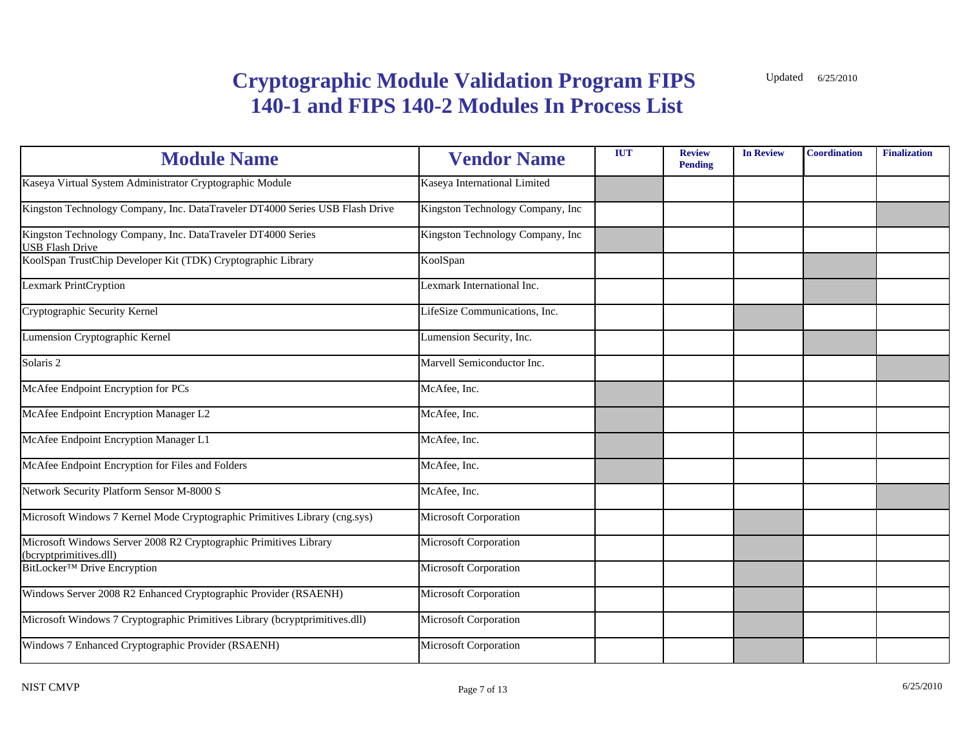| <b>Module Name</b>                                                                          | <b>Vendor Name</b>               | <b>IUT</b> | <b>Review</b><br><b>Pending</b> | <b>In Review</b> | <b>Coordination</b> | <b>Finalization</b> |
|---------------------------------------------------------------------------------------------|----------------------------------|------------|---------------------------------|------------------|---------------------|---------------------|
| Kaseya Virtual System Administrator Cryptographic Module                                    | Kaseya International Limited     |            |                                 |                  |                     |                     |
| Kingston Technology Company, Inc. DataTraveler DT4000 Series USB Flash Drive                | Kingston Technology Company, Inc |            |                                 |                  |                     |                     |
| Kingston Technology Company, Inc. DataTraveler DT4000 Series<br><b>USB Flash Drive</b>      | Kingston Technology Company, Inc |            |                                 |                  |                     |                     |
| KoolSpan TrustChip Developer Kit (TDK) Cryptographic Library                                | KoolSpan                         |            |                                 |                  |                     |                     |
| <b>Lexmark PrintCryption</b>                                                                | Lexmark International Inc.       |            |                                 |                  |                     |                     |
| Cryptographic Security Kernel                                                               | LifeSize Communications, Inc.    |            |                                 |                  |                     |                     |
| Lumension Cryptographic Kernel                                                              | Lumension Security, Inc.         |            |                                 |                  |                     |                     |
| Solaris 2                                                                                   | Marvell Semiconductor Inc.       |            |                                 |                  |                     |                     |
| McAfee Endpoint Encryption for PCs                                                          | McAfee, Inc.                     |            |                                 |                  |                     |                     |
| McAfee Endpoint Encryption Manager L2                                                       | McAfee, Inc.                     |            |                                 |                  |                     |                     |
| McAfee Endpoint Encryption Manager L1                                                       | McAfee, Inc.                     |            |                                 |                  |                     |                     |
| McAfee Endpoint Encryption for Files and Folders                                            | McAfee, Inc.                     |            |                                 |                  |                     |                     |
| Network Security Platform Sensor M-8000 S                                                   | McAfee, Inc.                     |            |                                 |                  |                     |                     |
| Microsoft Windows 7 Kernel Mode Cryptographic Primitives Library (cng.sys)                  | Microsoft Corporation            |            |                                 |                  |                     |                     |
| Microsoft Windows Server 2008 R2 Cryptographic Primitives Library<br>(bcryptprimitives.dll) | Microsoft Corporation            |            |                                 |                  |                     |                     |
| BitLocker <sup>™</sup> Drive Encryption                                                     | Microsoft Corporation            |            |                                 |                  |                     |                     |
| Windows Server 2008 R2 Enhanced Cryptographic Provider (RSAENH)                             | Microsoft Corporation            |            |                                 |                  |                     |                     |
| Microsoft Windows 7 Cryptographic Primitives Library (bcryptprimitives.dll)                 | Microsoft Corporation            |            |                                 |                  |                     |                     |
| Windows 7 Enhanced Cryptographic Provider (RSAENH)                                          | Microsoft Corporation            |            |                                 |                  |                     |                     |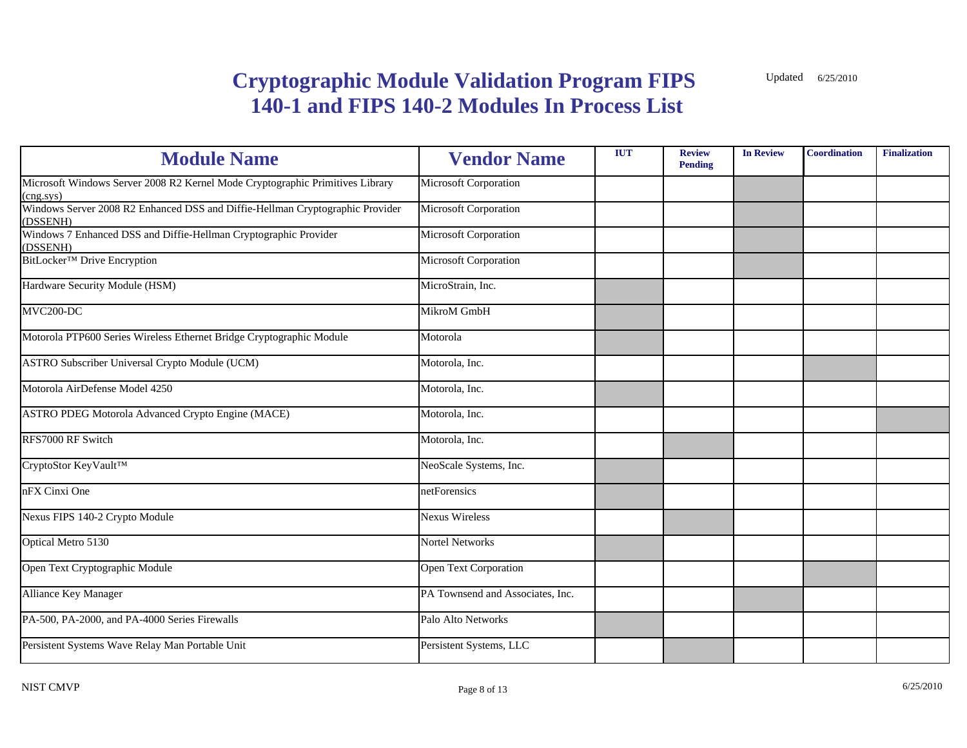| <b>Module Name</b>                                                                                  | <b>Vendor Name</b>               | <b>IUT</b> | <b>Review</b><br><b>Pending</b> | <b>In Review</b> | <b>Coordination</b> | <b>Finalization</b> |
|-----------------------------------------------------------------------------------------------------|----------------------------------|------------|---------------------------------|------------------|---------------------|---------------------|
| Microsoft Windows Server 2008 R2 Kernel Mode Cryptographic Primitives Library<br>$(\text{cng}.sys)$ | Microsoft Corporation            |            |                                 |                  |                     |                     |
| Windows Server 2008 R2 Enhanced DSS and Diffie-Hellman Cryptographic Provider<br>(DSSENH)           | Microsoft Corporation            |            |                                 |                  |                     |                     |
| Windows 7 Enhanced DSS and Diffie-Hellman Cryptographic Provider<br>(DSSENH)                        | Microsoft Corporation            |            |                                 |                  |                     |                     |
| BitLocker <sup>™</sup> Drive Encryption                                                             | Microsoft Corporation            |            |                                 |                  |                     |                     |
| Hardware Security Module (HSM)                                                                      | MicroStrain, Inc.                |            |                                 |                  |                     |                     |
| MVC200-DC                                                                                           | MikroM GmbH                      |            |                                 |                  |                     |                     |
| Motorola PTP600 Series Wireless Ethernet Bridge Cryptographic Module                                | Motorola                         |            |                                 |                  |                     |                     |
| ASTRO Subscriber Universal Crypto Module (UCM)                                                      | Motorola, Inc.                   |            |                                 |                  |                     |                     |
| Motorola AirDefense Model 4250                                                                      | Motorola, Inc.                   |            |                                 |                  |                     |                     |
| <b>ASTRO PDEG Motorola Advanced Crypto Engine (MACE)</b>                                            | Motorola, Inc.                   |            |                                 |                  |                     |                     |
| RFS7000 RF Switch                                                                                   | Motorola, Inc.                   |            |                                 |                  |                     |                     |
| CryptoStor KeyVault™                                                                                | NeoScale Systems, Inc.           |            |                                 |                  |                     |                     |
| nFX Cinxi One                                                                                       | netForensics                     |            |                                 |                  |                     |                     |
| Nexus FIPS 140-2 Crypto Module                                                                      | <b>Nexus Wireless</b>            |            |                                 |                  |                     |                     |
| Optical Metro 5130                                                                                  | Nortel Networks                  |            |                                 |                  |                     |                     |
| Open Text Cryptographic Module                                                                      | <b>Open Text Corporation</b>     |            |                                 |                  |                     |                     |
| <b>Alliance Key Manager</b>                                                                         | PA Townsend and Associates, Inc. |            |                                 |                  |                     |                     |
| PA-500, PA-2000, and PA-4000 Series Firewalls                                                       | Palo Alto Networks               |            |                                 |                  |                     |                     |
| Persistent Systems Wave Relay Man Portable Unit                                                     | Persistent Systems, LLC          |            |                                 |                  |                     |                     |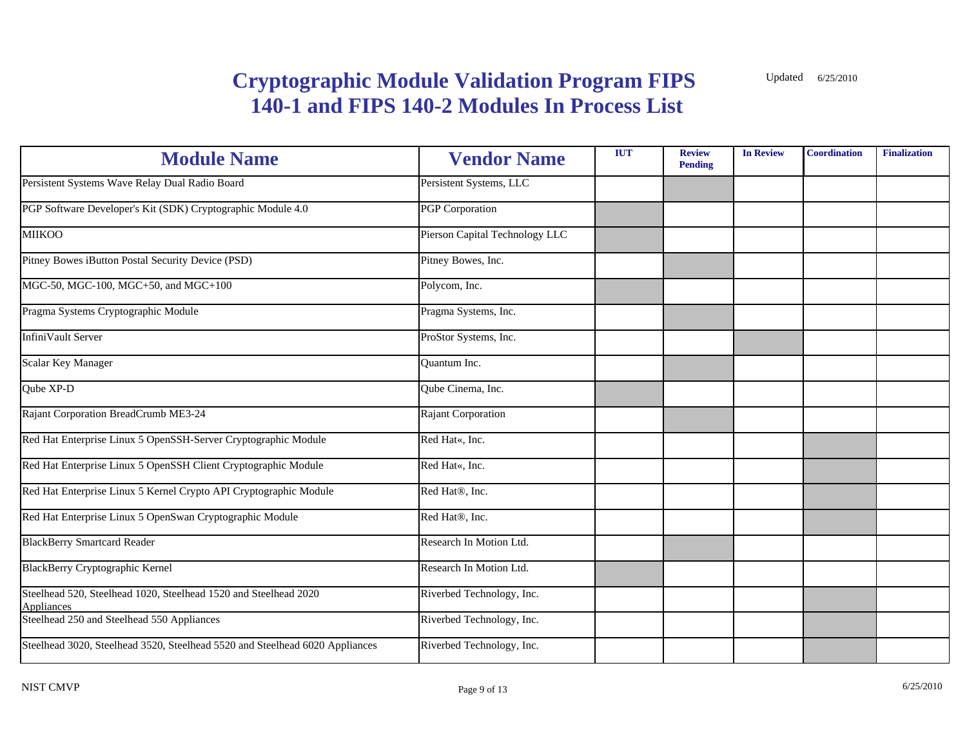| <b>Module Name</b>                                                                    | <b>Vendor Name</b>             | <b>IUT</b> | <b>Review</b><br><b>Pending</b> | <b>In Review</b> | <b>Coordination</b> | <b>Finalization</b> |
|---------------------------------------------------------------------------------------|--------------------------------|------------|---------------------------------|------------------|---------------------|---------------------|
| Persistent Systems Wave Relay Dual Radio Board                                        | Persistent Systems, LLC        |            |                                 |                  |                     |                     |
| PGP Software Developer's Kit (SDK) Cryptographic Module 4.0                           | <b>PGP</b> Corporation         |            |                                 |                  |                     |                     |
| <b>MIIKOO</b>                                                                         | Pierson Capital Technology LLC |            |                                 |                  |                     |                     |
| Pitney Bowes iButton Postal Security Device (PSD)                                     | Pitney Bowes, Inc.             |            |                                 |                  |                     |                     |
| MGC-50, MGC-100, MGC+50, and MGC+100                                                  | Polycom, Inc.                  |            |                                 |                  |                     |                     |
| Pragma Systems Cryptographic Module                                                   | Pragma Systems, Inc.           |            |                                 |                  |                     |                     |
| InfiniVault Server                                                                    | ProStor Systems, Inc.          |            |                                 |                  |                     |                     |
| Scalar Key Manager                                                                    | <b>Ouantum Inc.</b>            |            |                                 |                  |                     |                     |
| Qube XP-D                                                                             | Qube Cinema, Inc.              |            |                                 |                  |                     |                     |
| Rajant Corporation BreadCrumb ME3-24                                                  | Rajant Corporation             |            |                                 |                  |                     |                     |
| Red Hat Enterprise Linux 5 OpenSSH-Server Cryptographic Module                        | Red Hat«, Inc.                 |            |                                 |                  |                     |                     |
| Red Hat Enterprise Linux 5 OpenSSH Client Cryptographic Module                        | Red Hat«, Inc.                 |            |                                 |                  |                     |                     |
| Red Hat Enterprise Linux 5 Kernel Crypto API Cryptographic Module                     | Red Hat <sup>®</sup> , Inc.    |            |                                 |                  |                     |                     |
| Red Hat Enterprise Linux 5 OpenSwan Cryptographic Module                              | Red Hat <sup>®</sup> , Inc.    |            |                                 |                  |                     |                     |
| <b>BlackBerry Smartcard Reader</b>                                                    | Research In Motion Ltd.        |            |                                 |                  |                     |                     |
| <b>BlackBerry Cryptographic Kernel</b>                                                | Research In Motion Ltd.        |            |                                 |                  |                     |                     |
| Steelhead 520, Steelhead 1020, Steelhead 1520 and Steelhead 2020<br><b>Appliances</b> | Riverbed Technology, Inc.      |            |                                 |                  |                     |                     |
| Steelhead 250 and Steelhead 550 Appliances                                            | Riverbed Technology, Inc.      |            |                                 |                  |                     |                     |
| Steelhead 3020, Steelhead 3520, Steelhead 5520 and Steelhead 6020 Appliances          | Riverbed Technology, Inc.      |            |                                 |                  |                     |                     |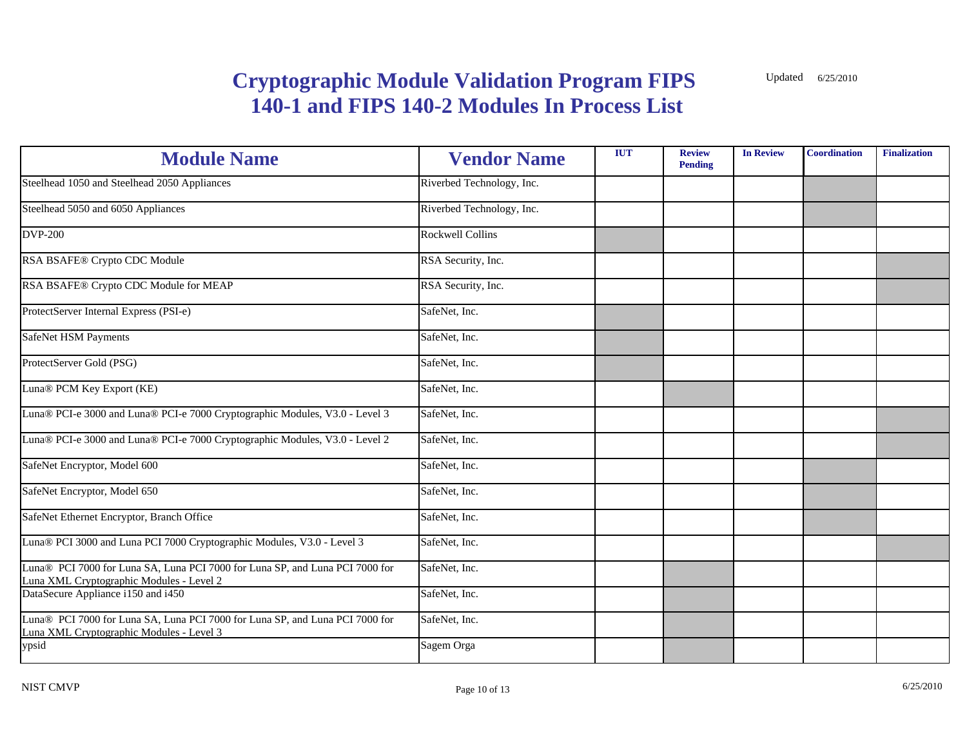| <b>Module Name</b>                                                                                                       | <b>Vendor Name</b>        | <b>IUT</b> | <b>Review</b><br><b>Pending</b> | <b>In Review</b> | <b>Coordination</b> | <b>Finalization</b> |
|--------------------------------------------------------------------------------------------------------------------------|---------------------------|------------|---------------------------------|------------------|---------------------|---------------------|
| Steelhead 1050 and Steelhead 2050 Appliances                                                                             | Riverbed Technology, Inc. |            |                                 |                  |                     |                     |
| Steelhead 5050 and 6050 Appliances                                                                                       | Riverbed Technology, Inc. |            |                                 |                  |                     |                     |
| <b>DVP-200</b>                                                                                                           | <b>Rockwell Collins</b>   |            |                                 |                  |                     |                     |
| RSA BSAFE® Crypto CDC Module                                                                                             | RSA Security, Inc.        |            |                                 |                  |                     |                     |
| RSA BSAFE® Crypto CDC Module for MEAP                                                                                    | RSA Security, Inc.        |            |                                 |                  |                     |                     |
| ProtectServer Internal Express (PSI-e)                                                                                   | SafeNet, Inc.             |            |                                 |                  |                     |                     |
| SafeNet HSM Payments                                                                                                     | SafeNet, Inc.             |            |                                 |                  |                     |                     |
| ProtectServer Gold (PSG)                                                                                                 | SafeNet, Inc.             |            |                                 |                  |                     |                     |
| Luna® PCM Key Export (KE)                                                                                                | SafeNet, Inc.             |            |                                 |                  |                     |                     |
| Luna® PCI-e 3000 and Luna® PCI-e 7000 Cryptographic Modules, V3.0 - Level 3                                              | SafeNet, Inc.             |            |                                 |                  |                     |                     |
| Luna® PCI-e 3000 and Luna® PCI-e 7000 Cryptographic Modules, V3.0 - Level 2                                              | SafeNet, Inc.             |            |                                 |                  |                     |                     |
| SafeNet Encryptor, Model 600                                                                                             | SafeNet, Inc.             |            |                                 |                  |                     |                     |
| SafeNet Encryptor, Model 650                                                                                             | SafeNet, Inc.             |            |                                 |                  |                     |                     |
| SafeNet Ethernet Encryptor, Branch Office                                                                                | SafeNet, Inc.             |            |                                 |                  |                     |                     |
| Luna® PCI 3000 and Luna PCI 7000 Cryptographic Modules, V3.0 - Level 3                                                   | SafeNet, Inc.             |            |                                 |                  |                     |                     |
| Luna® PCI 7000 for Luna SA, Luna PCI 7000 for Luna SP, and Luna PCI 7000 for<br>Luna XML Cryptographic Modules - Level 2 | SafeNet, Inc.             |            |                                 |                  |                     |                     |
| DataSecure Appliance i150 and i450                                                                                       | SafeNet, Inc.             |            |                                 |                  |                     |                     |
| Luna® PCI 7000 for Luna SA, Luna PCI 7000 for Luna SP, and Luna PCI 7000 for<br>Luna XML Cryptographic Modules - Level 3 | SafeNet, Inc.             |            |                                 |                  |                     |                     |
| ypsid                                                                                                                    | Sagem Orga                |            |                                 |                  |                     |                     |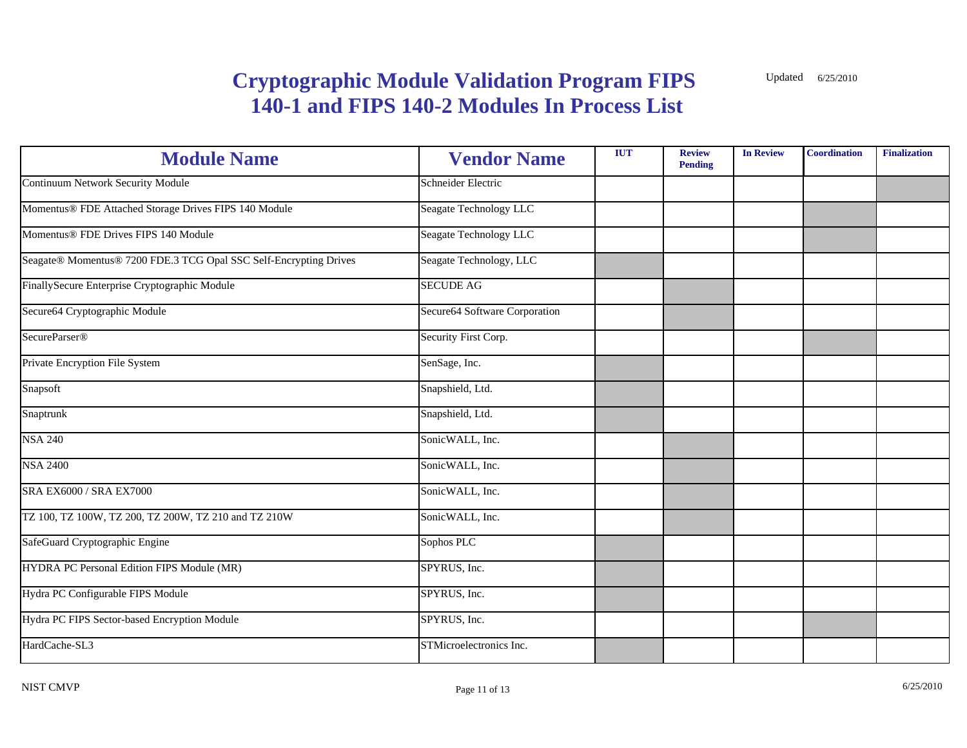| <b>Module Name</b>                                                | <b>Vendor Name</b>            | <b>IUT</b> | <b>Review</b><br><b>Pending</b> | <b>In Review</b> | <b>Coordination</b> | <b>Finalization</b> |
|-------------------------------------------------------------------|-------------------------------|------------|---------------------------------|------------------|---------------------|---------------------|
| Continuum Network Security Module                                 | Schneider Electric            |            |                                 |                  |                     |                     |
| Momentus® FDE Attached Storage Drives FIPS 140 Module             | Seagate Technology LLC        |            |                                 |                  |                     |                     |
| Momentus® FDE Drives FIPS 140 Module                              | Seagate Technology LLC        |            |                                 |                  |                     |                     |
| Seagate® Momentus® 7200 FDE.3 TCG Opal SSC Self-Encrypting Drives | Seagate Technology, LLC       |            |                                 |                  |                     |                     |
| FinallySecure Enterprise Cryptographic Module                     | <b>SECUDE AG</b>              |            |                                 |                  |                     |                     |
| Secure64 Cryptographic Module                                     | Secure64 Software Corporation |            |                                 |                  |                     |                     |
| SecureParser <sup>®</sup>                                         | Security First Corp.          |            |                                 |                  |                     |                     |
| Private Encryption File System                                    | SenSage, Inc.                 |            |                                 |                  |                     |                     |
| Snapsoft                                                          | Snapshield, Ltd.              |            |                                 |                  |                     |                     |
| Snaptrunk                                                         | Snapshield, Ltd.              |            |                                 |                  |                     |                     |
| <b>NSA 240</b>                                                    | SonicWALL, Inc.               |            |                                 |                  |                     |                     |
| <b>NSA 2400</b>                                                   | SonicWALL, Inc.               |            |                                 |                  |                     |                     |
| SRA EX6000 / SRA EX7000                                           | SonicWALL, Inc.               |            |                                 |                  |                     |                     |
| TZ 100, TZ 100W, TZ 200, TZ 200W, TZ 210 and TZ 210W              | SonicWALL, Inc.               |            |                                 |                  |                     |                     |
| SafeGuard Cryptographic Engine                                    | Sophos PLC                    |            |                                 |                  |                     |                     |
| HYDRA PC Personal Edition FIPS Module (MR)                        | SPYRUS, Inc.                  |            |                                 |                  |                     |                     |
| Hydra PC Configurable FIPS Module                                 | SPYRUS, Inc.                  |            |                                 |                  |                     |                     |
| Hydra PC FIPS Sector-based Encryption Module                      | SPYRUS, Inc.                  |            |                                 |                  |                     |                     |
| HardCache-SL3                                                     | STMicroelectronics Inc.       |            |                                 |                  |                     |                     |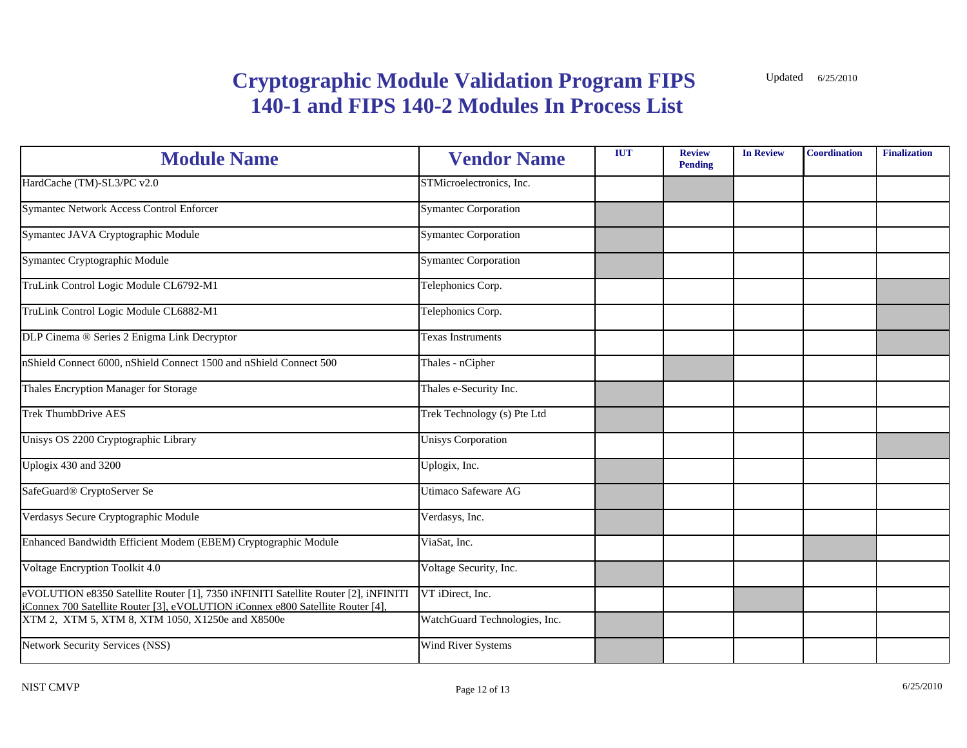| <b>Module Name</b>                                                                                                                                                   | <b>Vendor Name</b>            | <b>IUT</b> | <b>Review</b><br><b>Pending</b> | <b>In Review</b> | <b>Coordination</b> | <b>Finalization</b> |
|----------------------------------------------------------------------------------------------------------------------------------------------------------------------|-------------------------------|------------|---------------------------------|------------------|---------------------|---------------------|
| HardCache (TM)-SL3/PC v2.0                                                                                                                                           | STMicroelectronics, Inc.      |            |                                 |                  |                     |                     |
| <b>Symantec Network Access Control Enforcer</b>                                                                                                                      | <b>Symantec Corporation</b>   |            |                                 |                  |                     |                     |
| Symantec JAVA Cryptographic Module                                                                                                                                   | <b>Symantec Corporation</b>   |            |                                 |                  |                     |                     |
| Symantec Cryptographic Module                                                                                                                                        | <b>Symantec Corporation</b>   |            |                                 |                  |                     |                     |
| TruLink Control Logic Module CL6792-M1                                                                                                                               | Telephonics Corp.             |            |                                 |                  |                     |                     |
| TruLink Control Logic Module CL6882-M1                                                                                                                               | Telephonics Corp.             |            |                                 |                  |                     |                     |
| DLP Cinema ® Series 2 Enigma Link Decryptor                                                                                                                          | Texas Instruments             |            |                                 |                  |                     |                     |
| nShield Connect 6000, nShield Connect 1500 and nShield Connect 500                                                                                                   | Thales - nCipher              |            |                                 |                  |                     |                     |
| Thales Encryption Manager for Storage                                                                                                                                | Thales e-Security Inc.        |            |                                 |                  |                     |                     |
| <b>Trek ThumbDrive AES</b>                                                                                                                                           | Trek Technology (s) Pte Ltd   |            |                                 |                  |                     |                     |
| Unisys OS 2200 Cryptographic Library                                                                                                                                 | <b>Unisys Corporation</b>     |            |                                 |                  |                     |                     |
| Uplogix 430 and 3200                                                                                                                                                 | Uplogix, Inc.                 |            |                                 |                  |                     |                     |
| SafeGuard <sup>®</sup> CryptoServer Se                                                                                                                               | Utimaco Safeware AG           |            |                                 |                  |                     |                     |
| Verdasys Secure Cryptographic Module                                                                                                                                 | Verdasys, Inc.                |            |                                 |                  |                     |                     |
| Enhanced Bandwidth Efficient Modem (EBEM) Cryptographic Module                                                                                                       | ViaSat, Inc.                  |            |                                 |                  |                     |                     |
| Voltage Encryption Toolkit 4.0                                                                                                                                       | Voltage Security, Inc.        |            |                                 |                  |                     |                     |
| eVOLUTION e8350 Satellite Router [1], 7350 iNFINITI Satellite Router [2], iNFINITI<br>iConnex 700 Satellite Router [3], eVOLUTION iConnex e800 Satellite Router [4], | VT iDirect, Inc.              |            |                                 |                  |                     |                     |
| XTM 2, XTM 5, XTM 8, XTM 1050, X1250e and X8500e                                                                                                                     | WatchGuard Technologies, Inc. |            |                                 |                  |                     |                     |
| <b>Network Security Services (NSS)</b>                                                                                                                               | Wind River Systems            |            |                                 |                  |                     |                     |